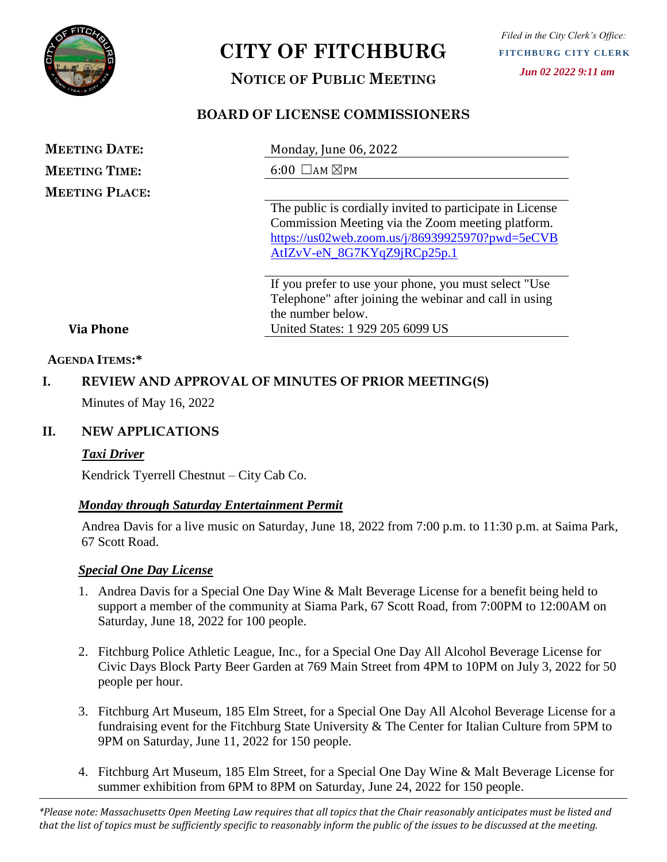

# **CITY OF FITCHBURG**

# **NOTICE OF PUBLIC MEETING**

# **BOARD OF LICENSE COMMISSIONERS**

| <b>MEETING DATE:</b>  | Monday, June 06, 2022                                     |
|-----------------------|-----------------------------------------------------------|
| <b>MEETING TIME:</b>  | $6:00$ $\Box$ AM $\boxtimes$ PM                           |
| <b>MEETING PLACE:</b> |                                                           |
|                       | The public is cordially invited to participate in License |
|                       | Commission Meeting via the Zoom meeting platform.         |
|                       | https://us02web.zoom.us/j/86939925970?pwd=5eCVB           |
|                       | AtIZvV-eN_8G7KYqZ9jRCp25p.1                               |

If you prefer to use your phone, you must select "Use Telephone" after joining the webinar and call in using the number below. United States: 1 929 205 6099 US

#### **Via Phone**

#### **AGENDA ITEMS:\***

# **I. REVIEW AND APPROVAL OF MINUTES OF PRIOR MEETING(S)**

Minutes of May 16, 2022

#### **II. NEW APPLICATIONS**

#### *Taxi Driver*

Kendrick Tyerrell Chestnut – City Cab Co.

#### *Monday through Saturday Entertainment Permit*

Andrea Davis for a live music on Saturday, June 18, 2022 from 7:00 p.m. to 11:30 p.m. at Saima Park, 67 Scott Road.

#### *Special One Day License*

- 1. Andrea Davis for a Special One Day Wine & Malt Beverage License for a benefit being held to support a member of the community at Siama Park, 67 Scott Road, from 7:00PM to 12:00AM on Saturday, June 18, 2022 for 100 people.
- 2. Fitchburg Police Athletic League, Inc., for a Special One Day All Alcohol Beverage License for Civic Days Block Party Beer Garden at 769 Main Street from 4PM to 10PM on July 3, 2022 for 50 people per hour.
- 3. Fitchburg Art Museum, 185 Elm Street, for a Special One Day All Alcohol Beverage License for a fundraising event for the Fitchburg State University & The Center for Italian Culture from 5PM to 9PM on Saturday, June 11, 2022 for 150 people.
- 4. Fitchburg Art Museum, 185 Elm Street, for a Special One Day Wine & Malt Beverage License for summer exhibition from 6PM to 8PM on Saturday, June 24, 2022 for 150 people.

*\*Please note: Massachusetts Open Meeting Law requires that all topics that the Chair reasonably anticipates must be listed and that the list of topics must be sufficiently specific to reasonably inform the public of the issues to be discussed at the meeting.*